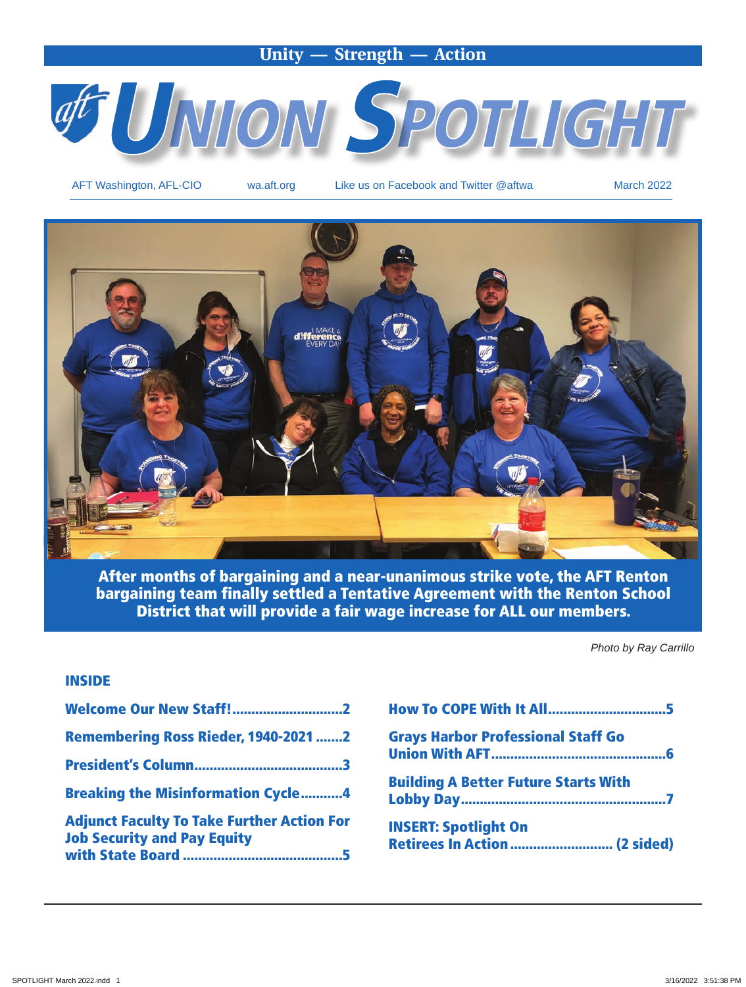### **Unity — Strength — Action**



AFT Washington, AFL-CIO wa.aft.org Like us on Facebook and Twitter @aftwa March 2022



After months of bargaining and a near-unanimous strike vote, the AFT Renton bargaining team finally settled a Tentative Agreement with the Renton School District that will provide a fair wage increase for ALL our members.

*Photo by Ray Carrillo*

#### INSIDE

| Welcome Our New Staff!2                                                                 |
|-----------------------------------------------------------------------------------------|
| <b>Remembering Ross Rieder, 1940-2021 2</b>                                             |
|                                                                                         |
| <b>Breaking the Misinformation Cycle4</b>                                               |
| <b>Adjunct Faculty To Take Further Action For</b><br><b>Job Security and Pay Equity</b> |
|                                                                                         |

| <b>How To COPE With It All5</b>             |  |
|---------------------------------------------|--|
| <b>Grays Harbor Professional Staff Go</b>   |  |
| <b>Building A Better Future Starts With</b> |  |
| <b>INSERT: Spotlight On</b>                 |  |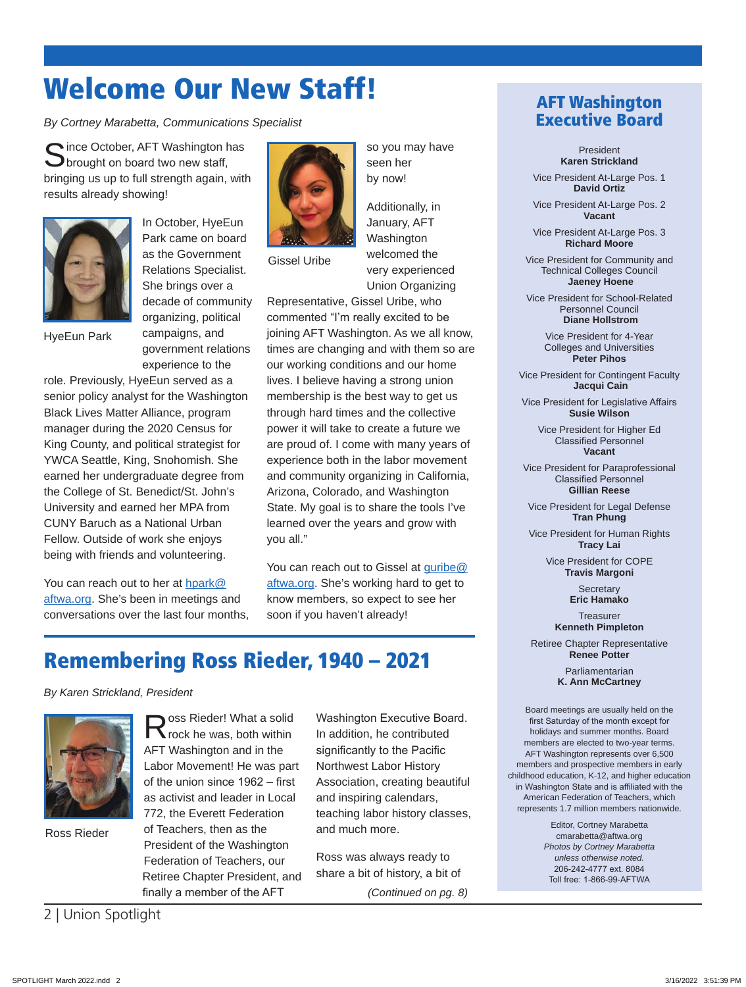# Welcome Our New Staff!

*By Cortney Marabetta, Communications Specialist*

Since October, AFT Washington has<br>Sprought on board two new staff, bringing us up to full strength again, with results already showing!



In October, HyeEun Park came on board as the Government Relations Specialist. She brings over a decade of community organizing, political campaigns, and government relations experience to the

HyeEun Park

role. Previously, HyeEun served as a senior policy analyst for the Washington Black Lives Matter Alliance, program manager during the 2020 Census for King County, and political strategist for YWCA Seattle, King, Snohomish. She earned her undergraduate degree from the College of St. Benedict/St. John's University and earned her MPA from CUNY Baruch as a National Urban Fellow. Outside of work she enjoys being with friends and volunteering.

You can reach out to her at hpark@ aftwa.org. She's been in meetings and conversations over the last four months,



Gissel Uribe

you all."

welcomed the very experienced Union Organizing Representative, Gissel Uribe, who commented "I'm really excited to be joining AFT Washington. As we all know, times are changing and with them so are our working conditions and our home lives. I believe having a strong union membership is the best way to get us through hard times and the collective power it will take to create a future we are proud of. I come with many years of experience both in the labor movement and community organizing in California, Arizona, Colorado, and Washington State. My goal is to share the tools I've learned over the years and grow with

so you may have

Additionally, in January, AFT Washington

seen her by now!

You can reach out to Gissel at guribe@ aftwa.org. She's working hard to get to know members, so expect to see her soon if you haven't already!

## Remembering Ross Rieder, 1940 – 2021

#### *By Karen Strickland, President*



Ross Rieder

Ross Rieder! What a solid<br>
Rock he was, both within AFT Washington and in the Labor Movement! He was part of the union since 1962 – first as activist and leader in Local 772, the Everett Federation of Teachers, then as the President of the Washington Federation of Teachers, our Retiree Chapter President, and

finally a member of the AFT

Washington Executive Board. In addition, he contributed significantly to the Pacific Northwest Labor History Association, creating beautiful and inspiring calendars, teaching labor history classes, and much more.

Ross was always ready to share a bit of history, a bit of *(Continued on pg. 8)*

### AFT Washington Executive Board

President **Karen Strickland**

Vice President At-Large Pos. 1 **David Ortiz**

Vice President At-Large Pos. 2 **Vacant**

Vice President At-Large Pos. 3 **Richard Moore**

Vice President for Community and Technical Colleges Council  **Jaeney Hoene**

Vice President for School-Related Personnel Council  **Diane Hollstrom**

> Vice President for 4-Year Colleges and Universities **Peter Pihos**

Vice President for Contingent Faculty  **Jacqui Cain**

Vice President for Legislative Affairs **Susie Wilson**

Vice President for Higher Ed Classified Personnel **Vacant**

Vice President for Paraprofessional Classified Personnel **Gillian Reese**

Vice President for Legal Defense **Tran Phung**

Vice President for Human Rights **Tracy Lai**

> Vice President for COPE **Travis Margoni**

> > **Secretary Eric Hamako**

**Treasurer Kenneth Pimpleton**

Retiree Chapter Representative **Renee Potter**

> Parliamentarian **K. Ann McCartney**

Board meetings are usually held on the first Saturday of the month except for holidays and summer months. Board members are elected to two-year terms. AFT Washington represents over 6,500 members and prospective members in early childhood education, K-12, and higher education in Washington State and is affiliated with the American Federation of Teachers, which represents 1.7 million members nationwide.

> Editor, Cortney Marabetta cmarabetta@aftwa.org *Photos by Cortney Marabetta unless otherwise noted.* 206-242-4777 ext. 8084 Toll free: 1-866-99-AFTWA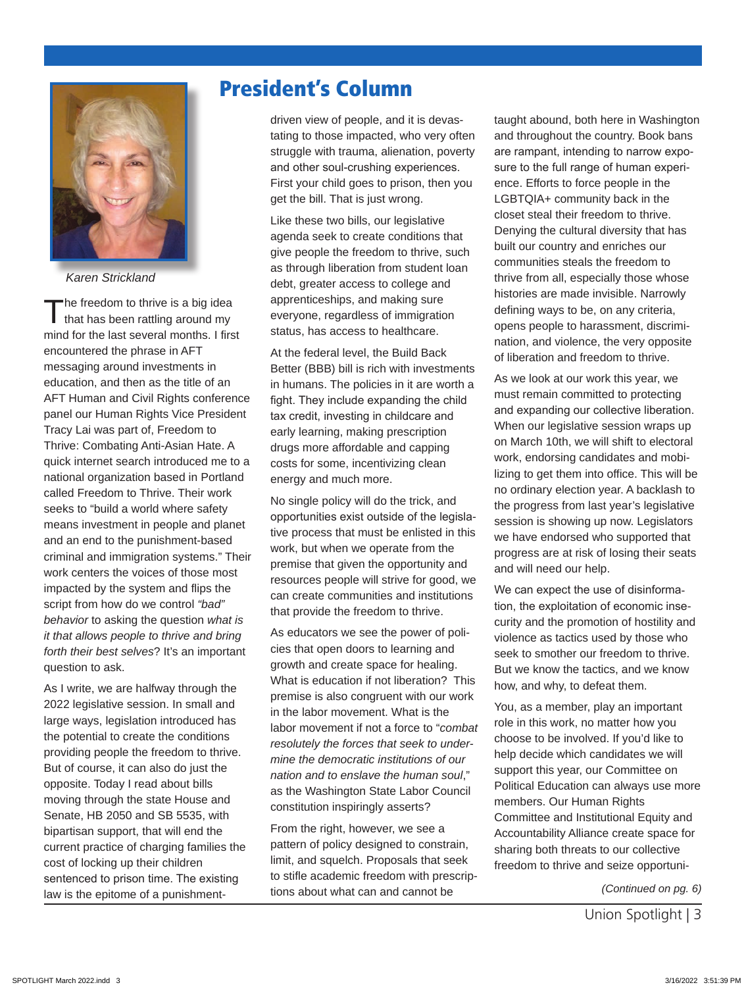

*Karen Strickland*

The freedom to thrive is a big idea that has been rattling around my mind for the last several months. I first encountered the phrase in AFT messaging around investments in education, and then as the title of an AFT Human and Civil Rights conference panel our Human Rights Vice President Tracy Lai was part of, Freedom to Thrive: Combating Anti-Asian Hate. A quick internet search introduced me to a national organization based in Portland called Freedom to Thrive. Their work seeks to "build a world where safety means investment in people and planet and an end to the punishment-based criminal and immigration systems." Their work centers the voices of those most impacted by the system and flips the script from how do we control *"bad" behavior* to asking the question *what is it that allows people to thrive and bring forth their best selves*? It's an important question to ask.

As I write, we are halfway through the 2022 legislative session. In small and large ways, legislation introduced has the potential to create the conditions providing people the freedom to thrive. But of course, it can also do just the opposite. Today I read about bills moving through the state House and Senate, HB 2050 and SB 5535, with bipartisan support, that will end the current practice of charging families the cost of locking up their children sentenced to prison time. The existing law is the epitome of a punishment-

## President's Column

driven view of people, and it is devastating to those impacted, who very often struggle with trauma, alienation, poverty and other soul-crushing experiences. First your child goes to prison, then you get the bill. That is just wrong.

Like these two bills, our legislative agenda seek to create conditions that give people the freedom to thrive, such as through liberation from student loan debt, greater access to college and apprenticeships, and making sure everyone, regardless of immigration status, has access to healthcare.

At the federal level, the Build Back Better (BBB) bill is rich with investments in humans. The policies in it are worth a fight. They include expanding the child tax credit, investing in childcare and early learning, making prescription drugs more affordable and capping costs for some, incentivizing clean energy and much more.

No single policy will do the trick, and opportunities exist outside of the legislative process that must be enlisted in this work, but when we operate from the premise that given the opportunity and resources people will strive for good, we can create communities and institutions that provide the freedom to thrive.

As educators we see the power of policies that open doors to learning and growth and create space for healing. What is education if not liberation? This premise is also congruent with our work in the labor movement. What is the labor movement if not a force to "*combat resolutely the forces that seek to undermine the democratic institutions of our nation and to enslave the human soul*," as the Washington State Labor Council constitution inspiringly asserts?

From the right, however, we see a pattern of policy designed to constrain, limit, and squelch. Proposals that seek to stifle academic freedom with prescriptions about what can and cannot be

taught abound, both here in Washington and throughout the country. Book bans are rampant, intending to narrow exposure to the full range of human experience. Efforts to force people in the LGBTQIA+ community back in the closet steal their freedom to thrive. Denying the cultural diversity that has built our country and enriches our communities steals the freedom to thrive from all, especially those whose histories are made invisible. Narrowly defining ways to be, on any criteria, opens people to harassment, discrimination, and violence, the very opposite of liberation and freedom to thrive.

As we look at our work this year, we must remain committed to protecting and expanding our collective liberation. When our legislative session wraps up on March 10th, we will shift to electoral work, endorsing candidates and mobilizing to get them into office. This will be no ordinary election year. A backlash to the progress from last year's legislative session is showing up now. Legislators we have endorsed who supported that progress are at risk of losing their seats and will need our help.

We can expect the use of disinformation, the exploitation of economic insecurity and the promotion of hostility and violence as tactics used by those who seek to smother our freedom to thrive. But we know the tactics, and we know how, and why, to defeat them.

You, as a member, play an important role in this work, no matter how you choose to be involved. If you'd like to help decide which candidates we will support this year, our Committee on Political Education can always use more members. Our Human Rights Committee and Institutional Equity and Accountability Alliance create space for sharing both threats to our collective freedom to thrive and seize opportuni-

*(Continued on pg. 6)*

Union Spotlight | 3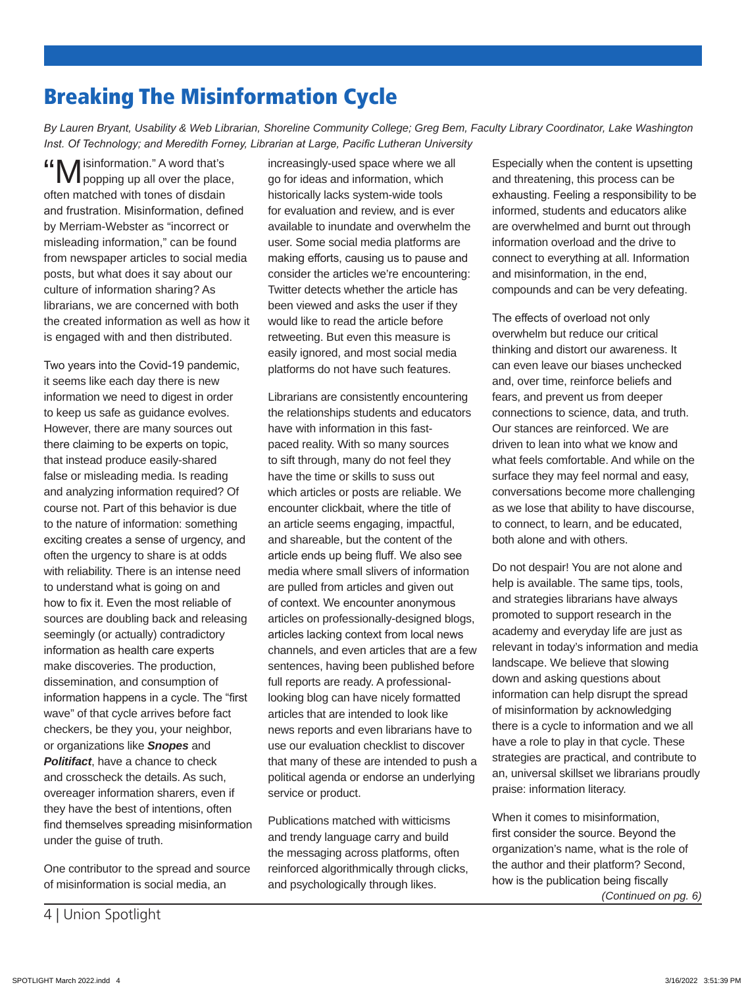## "Misinformation." A word that's popping up all over the place, often matched with tones of disdain

Breaking The Misinformation Cycle

*Inst. Of Technology; and Meredith Forney, Librarian at Large, Pacific Lutheran University*

and frustration. Misinformation, defined by Merriam-Webster as "incorrect or misleading information," can be found from newspaper articles to social media posts, but what does it say about our culture of information sharing? As librarians, we are concerned with both the created information as well as how it is engaged with and then distributed.

Two years into the Covid-19 pandemic, it seems like each day there is new information we need to digest in order to keep us safe as guidance evolves. However, there are many sources out there claiming to be experts on topic, that instead produce easily-shared false or misleading media. Is reading and analyzing information required? Of course not. Part of this behavior is due to the nature of information: something exciting creates a sense of urgency, and often the urgency to share is at odds with reliability. There is an intense need to understand what is going on and how to fix it. Even the most reliable of sources are doubling back and releasing seemingly (or actually) contradictory information as health care experts make discoveries. The production, dissemination, and consumption of information happens in a cycle. The "first wave" of that cycle arrives before fact checkers, be they you, your neighbor, or organizations like *Snopes* and *Politifact*, have a chance to check and crosscheck the details. As such, overeager information sharers, even if they have the best of intentions, often find themselves spreading misinformation under the guise of truth.

One contributor to the spread and source of misinformation is social media, an

increasingly-used space where we all go for ideas and information, which historically lacks system-wide tools for evaluation and review, and is ever available to inundate and overwhelm the user. Some social media platforms are making efforts, causing us to pause and consider the articles we're encountering: Twitter detects whether the article has been viewed and asks the user if they would like to read the article before retweeting. But even this measure is easily ignored, and most social media platforms do not have such features.

*By Lauren Bryant, Usability & Web Librarian, Shoreline Community College; Greg Bem, Faculty Library Coordinator, Lake Washington* 

Librarians are consistently encountering the relationships students and educators have with information in this fastpaced reality. With so many sources to sift through, many do not feel they have the time or skills to suss out which articles or posts are reliable. We encounter clickbait, where the title of an article seems engaging, impactful, and shareable, but the content of the article ends up being fluff. We also see media where small slivers of information are pulled from articles and given out of context. We encounter anonymous articles on professionally-designed blogs, articles lacking context from local news channels, and even articles that are a few sentences, having been published before full reports are ready. A professionallooking blog can have nicely formatted articles that are intended to look like news reports and even librarians have to use our evaluation checklist to discover that many of these are intended to push a political agenda or endorse an underlying service or product.

Publications matched with witticisms and trendy language carry and build the messaging across platforms, often reinforced algorithmically through clicks, and psychologically through likes.

Especially when the content is upsetting and threatening, this process can be exhausting. Feeling a responsibility to be informed, students and educators alike are overwhelmed and burnt out through information overload and the drive to connect to everything at all. Information and misinformation, in the end, compounds and can be very defeating.

The effects of overload not only overwhelm but reduce our critical thinking and distort our awareness. It can even leave our biases unchecked and, over time, reinforce beliefs and fears, and prevent us from deeper connections to science, data, and truth. Our stances are reinforced. We are driven to lean into what we know and what feels comfortable. And while on the surface they may feel normal and easy, conversations become more challenging as we lose that ability to have discourse, to connect, to learn, and be educated, both alone and with others.

Do not despair! You are not alone and help is available. The same tips, tools, and strategies librarians have always promoted to support research in the academy and everyday life are just as relevant in today's information and media landscape. We believe that slowing down and asking questions about information can help disrupt the spread of misinformation by acknowledging there is a cycle to information and we all have a role to play in that cycle. These strategies are practical, and contribute to an, universal skillset we librarians proudly praise: information literacy.

When it comes to misinformation, first consider the source. Beyond the organization's name, what is the role of the author and their platform? Second, how is the publication being fiscally *(Continued on pg. 6)*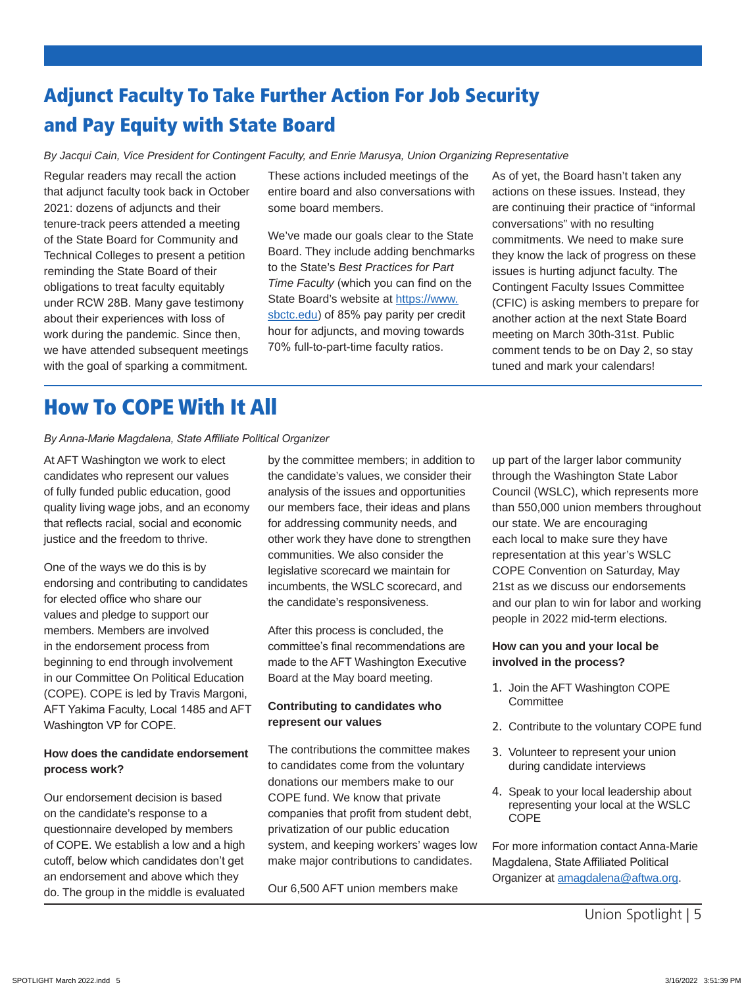## Adjunct Faculty To Take Further Action For Job Security and Pay Equity with State Board

*By Jacqui Cain, Vice President for Contingent Faculty, and Enrie Marusya, Union Organizing Representative*

Regular readers may recall the action that adjunct faculty took back in October 2021: dozens of adjuncts and their tenure-track peers attended a meeting of the State Board for Community and Technical Colleges to present a petition reminding the State Board of their obligations to treat faculty equitably under RCW 28B. Many gave testimony about their experiences with loss of work during the pandemic. Since then, we have attended subsequent meetings with the goal of sparking a commitment.

These actions included meetings of the entire board and also conversations with some board members.

We've made our goals clear to the State Board. They include adding benchmarks to the State's *Best Practices for Part Time Faculty* (which you can find on the State Board's website at https://www. sbctc.edu) of 85% pay parity per credit hour for adjuncts, and moving towards 70% full-to-part-time faculty ratios.

As of yet, the Board hasn't taken any actions on these issues. Instead, they are continuing their practice of "informal conversations" with no resulting commitments. We need to make sure they know the lack of progress on these issues is hurting adjunct faculty. The Contingent Faculty Issues Committee (CFIC) is asking members to prepare for another action at the next State Board meeting on March 30th-31st. Public comment tends to be on Day 2, so stay tuned and mark your calendars!

## How To COPE With It All

#### *By Anna-Marie Magdalena, State Affiliate Political Organizer*

At AFT Washington we work to elect candidates who represent our values of fully funded public education, good quality living wage jobs, and an economy that reflects racial, social and economic justice and the freedom to thrive.

One of the ways we do this is by endorsing and contributing to candidates for elected office who share our values and pledge to support our members. Members are involved in the endorsement process from beginning to end through involvement in our Committee On Political Education (COPE). COPE is led by Travis Margoni, AFT Yakima Faculty, Local 1485 and AFT Washington VP for COPE.

#### **How does the candidate endorsement process work?**

Our endorsement decision is based on the candidate's response to a questionnaire developed by members of COPE. We establish a low and a high cutoff, below which candidates don't get an endorsement and above which they do. The group in the middle is evaluated

by the committee members; in addition to the candidate's values, we consider their analysis of the issues and opportunities our members face, their ideas and plans for addressing community needs, and other work they have done to strengthen communities. We also consider the legislative scorecard we maintain for incumbents, the WSLC scorecard, and the candidate's responsiveness.

After this process is concluded, the committee's final recommendations are made to the AFT Washington Executive Board at the May board meeting.

#### **Contributing to candidates who represent our values**

The contributions the committee makes to candidates come from the voluntary donations our members make to our COPE fund. We know that private companies that profit from student debt, privatization of our public education system, and keeping workers' wages low make major contributions to candidates.

Our 6,500 AFT union members make

up part of the larger labor community through the Washington State Labor Council (WSLC), which represents more than 550,000 union members throughout our state. We are encouraging each local to make sure they have representation at this year's WSLC COPE Convention on Saturday, May 21st as we discuss our endorsements and our plan to win for labor and working people in 2022 mid-term elections.

#### **How can you and your local be involved in the process?**

- 1. Join the AFT Washington COPE **Committee**
- 2. Contribute to the voluntary COPE fund
- 3. Volunteer to represent your union during candidate interviews
- 4. Speak to your local leadership about representing your local at the WSLC COPE

For more information contact Anna-Marie Magdalena, State Affiliated Political Organizer at amagdalena@aftwa.org.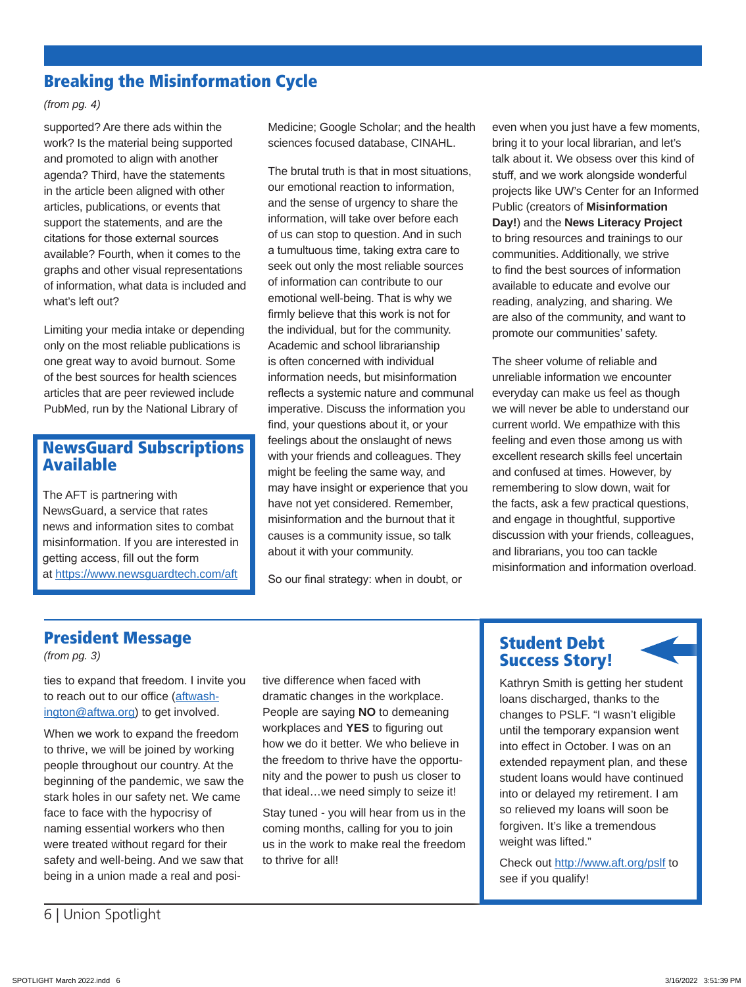### Breaking the Misinformation Cycle

#### *(from pg. 4)*

supported? Are there ads within the work? Is the material being supported and promoted to align with another agenda? Third, have the statements in the article been aligned with other articles, publications, or events that support the statements, and are the citations for those external sources available? Fourth, when it comes to the graphs and other visual representations of information, what data is included and what's left out?

Limiting your media intake or depending only on the most reliable publications is one great way to avoid burnout. Some of the best sources for health sciences articles that are peer reviewed include PubMed, run by the National Library of

### NewsGuard Subscriptions Available

The AFT is partnering with NewsGuard, a service that rates news and information sites to combat misinformation. If you are interested in getting access, fill out the form at https://www.newsguardtech.com/aft Medicine; Google Scholar; and the health sciences focused database, CINAHL.

The brutal truth is that in most situations, our emotional reaction to information, and the sense of urgency to share the information, will take over before each of us can stop to question. And in such a tumultuous time, taking extra care to seek out only the most reliable sources of information can contribute to our emotional well-being. That is why we firmly believe that this work is not for the individual, but for the community. Academic and school librarianship is often concerned with individual information needs, but misinformation reflects a systemic nature and communal imperative. Discuss the information you find, your questions about it, or your feelings about the onslaught of news with your friends and colleagues. They might be feeling the same way, and may have insight or experience that you have not yet considered. Remember, misinformation and the burnout that it causes is a community issue, so talk about it with your community.

So our final strategy: when in doubt, or

even when you just have a few moments, bring it to your local librarian, and let's talk about it. We obsess over this kind of stuff, and we work alongside wonderful projects like UW's Center for an Informed Public (creators of **Misinformation Day!**) and the **News Literacy Project** to bring resources and trainings to our communities. Additionally, we strive to find the best sources of information available to educate and evolve our reading, analyzing, and sharing. We are also of the community, and want to promote our communities' safety.

The sheer volume of reliable and unreliable information we encounter everyday can make us feel as though we will never be able to understand our current world. We empathize with this feeling and even those among us with excellent research skills feel uncertain and confused at times. However, by remembering to slow down, wait for the facts, ask a few practical questions, and engage in thoughtful, supportive discussion with your friends, colleagues, and librarians, you too can tackle misinformation and information overload.

### President Message

*(from pg. 3)*

ties to expand that freedom. I invite you to reach out to our office (aftwashington@aftwa.org) to get involved.

When we work to expand the freedom to thrive, we will be joined by working people throughout our country. At the beginning of the pandemic, we saw the stark holes in our safety net. We came face to face with the hypocrisy of naming essential workers who then were treated without regard for their safety and well-being. And we saw that being in a union made a real and positive difference when faced with dramatic changes in the workplace. People are saying **NO** to demeaning workplaces and **YES** to figuring out how we do it better. We who believe in the freedom to thrive have the opportunity and the power to push us closer to that ideal…we need simply to seize it!

Stay tuned - you will hear from us in the coming months, calling for you to join us in the work to make real the freedom to thrive for all!

### Student Debt Success Story!



Kathryn Smith is getting her student loans discharged, thanks to the changes to PSLF. "I wasn't eligible until the temporary expansion went into effect in October. I was on an extended repayment plan, and these student loans would have continued into or delayed my retirement. I am so relieved my loans will soon be forgiven. It's like a tremendous weight was lifted."

Check out http://www.aft.org/pslf to see if you qualify!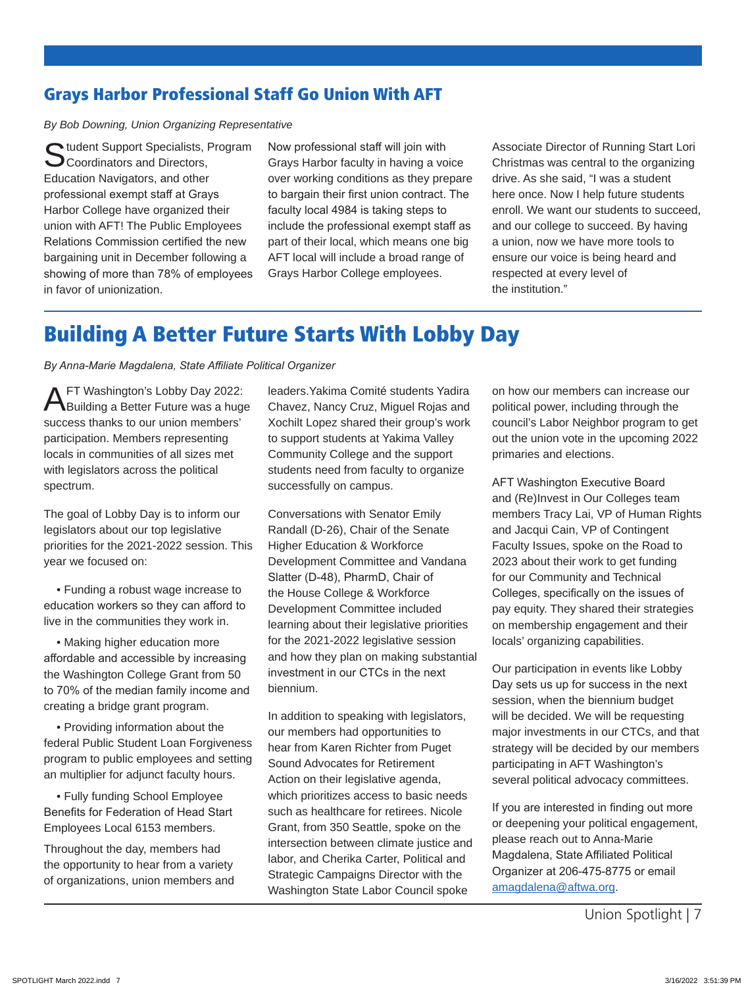### Grays Harbor Professional Staff Go Union With AFT

*By Bob Downing, Union Organizing Representative*

C tudent Support Specialists, Program Coordinators and Directors, Education Navigators, and other professional exempt staff at Grays Harbor College have organized their union with AFT! The Public Employees Relations Commission certified the new bargaining unit in December following a showing of more than 78% of employees in favor of unionization.

Now professional staff will join with Grays Harbor faculty in having a voice over working conditions as they prepare to bargain their first union contract. The faculty local 4984 is taking steps to include the professional exempt staff as part of their local, which means one big AFT local will include a broad range of Grays Harbor College employees.

Associate Director of Running Start Lori Christmas was central to the organizing drive. As she said, "I was a student here once. Now I help future students enroll. We want our students to succeed, and our college to succeed. By having a union, now we have more tools to ensure our voice is being heard and respected at every level of the institution."

## Building A Better Future Starts With Lobby Day

*By Anna-Marie Magdalena, State Affiliate Political Organizer*

AFT Washington's Lobby Day 2022: Building a Better Future was a huge success thanks to our union members' participation. Members representing locals in communities of all sizes met with legislators across the political spectrum.

The goal of Lobby Day is to inform our legislators about our top legislative priorities for the 2021-2022 session. This year we focused on:

 • Funding a robust wage increase to education workers so they can afford to live in the communities they work in.

 • Making higher education more affordable and accessible by increasing the Washington College Grant from 50 to 70% of the median family income and creating a bridge grant program.

 • Providing information about the federal Public Student Loan Forgiveness program to public employees and setting an multiplier for adjunct faculty hours.

 • Fully funding School Employee Benefits for Federation of Head Start Employees Local 6153 members.

Throughout the day, members had the opportunity to hear from a variety of organizations, union members and leaders.Yakima Comité students Yadira Chavez, Nancy Cruz, Miguel Rojas and Xochilt Lopez shared their group's work to support students at Yakima Valley Community College and the support students need from faculty to organize successfully on campus.

Conversations with Senator Emily Randall (D-26), Chair of the Senate Higher Education & Workforce Development Committee and Vandana Slatter (D-48), PharmD, Chair of the House College & Workforce Development Committee included learning about their legislative priorities for the 2021-2022 legislative session and how they plan on making substantial investment in our CTCs in the next biennium.

In addition to speaking with legislators, our members had opportunities to hear from Karen Richter from Puget Sound Advocates for Retirement Action on their legislative agenda, which prioritizes access to basic needs such as healthcare for retirees. Nicole Grant, from 350 Seattle, spoke on the intersection between climate justice and labor, and Cherika Carter, Political and Strategic Campaigns Director with the Washington State Labor Council spoke

on how our members can increase our political power, including through the council's Labor Neighbor program to get out the union vote in the upcoming 2022 primaries and elections.

AFT Washington Executive Board and (Re)Invest in Our Colleges team members Tracy Lai, VP of Human Rights and Jacqui Cain, VP of Contingent Faculty Issues, spoke on the Road to 2023 about their work to get funding for our Community and Technical Colleges, specifically on the issues of pay equity. They shared their strategies on membership engagement and their locals' organizing capabilities.

Our participation in events like Lobby Day sets us up for success in the next session, when the biennium budget will be decided. We will be requesting major investments in our CTCs, and that strategy will be decided by our members participating in AFT Washington's several political advocacy committees.

If you are interested in finding out more or deepening your political engagement, please reach out to Anna-Marie Magdalena, State Affiliated Political Organizer at 206-475-8775 or email amagdalena@aftwa.org.

Union Spotlight | 7